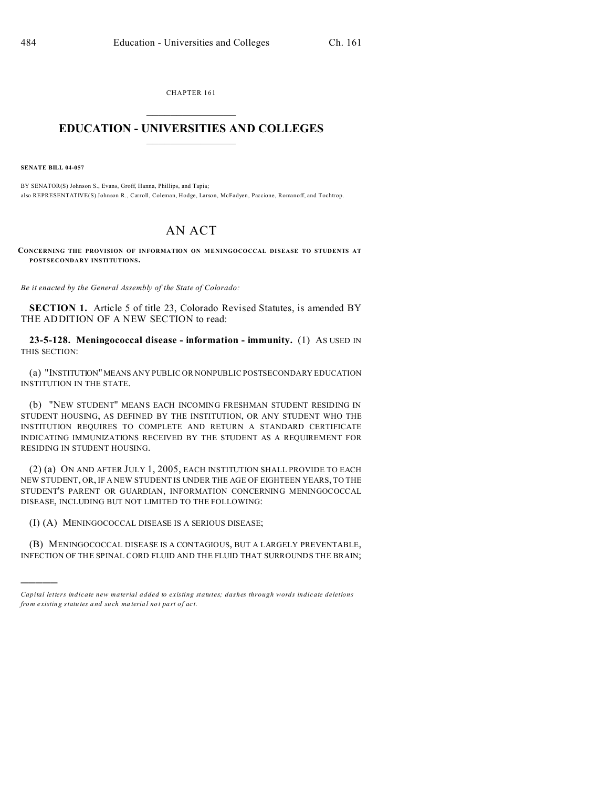CHAPTER 161  $\overline{\phantom{a}}$  , where  $\overline{\phantom{a}}$ 

## **EDUCATION - UNIVERSITIES AND COLLEGES**  $\frac{1}{2}$  ,  $\frac{1}{2}$  ,  $\frac{1}{2}$  ,  $\frac{1}{2}$  ,  $\frac{1}{2}$  ,  $\frac{1}{2}$  ,  $\frac{1}{2}$

**SENATE BILL 04-057**

)))))

BY SENATOR(S) Johnson S., Evans, Groff, Hanna, Phillips, and Tapia; also REPRESENTATIVE(S) Johnson R., Carroll, Coleman, Hodge, Larson, McFadyen, Paccione, Romanoff, and Tochtrop.

## AN ACT

CONCERNING THE PROVISION OF INFORMATION ON MENINGOCOCCAL DISEASE TO STUDENTS AT **POSTSECONDARY INSTITUTIONS.**

*Be it enacted by the General Assembly of the State of Colorado:*

**SECTION 1.** Article 5 of title 23, Colorado Revised Statutes, is amended BY THE ADDITION OF A NEW SECTION to read:

**23-5-128. Meningococcal disease - information - immunity.** (1) AS USED IN THIS SECTION:

(a) "INSTITUTION" MEANS ANY PUBLIC OR NONPUBLIC POSTSECONDARY EDUCATION INSTITUTION IN THE STATE.

(b) "NEW STUDENT" MEANS EACH INCOMING FRESHMAN STUDENT RESIDING IN STUDENT HOUSING, AS DEFINED BY THE INSTITUTION, OR ANY STUDENT WHO THE INSTITUTION REQUIRES TO COMPLETE AND RETURN A STANDARD CERTIFICATE INDICATING IMMUNIZATIONS RECEIVED BY THE STUDENT AS A REQUIREMENT FOR RESIDING IN STUDENT HOUSING.

(2) (a) ON AND AFTER JULY 1, 2005, EACH INSTITUTION SHALL PROVIDE TO EACH NEW STUDENT, OR, IF A NEW STUDENT IS UNDER THE AGE OF EIGHTEEN YEARS, TO THE STUDENT'S PARENT OR GUARDIAN, INFORMATION CONCERNING MENINGOCOCCAL DISEASE, INCLUDING BUT NOT LIMITED TO THE FOLLOWING:

(I) (A) MENINGOCOCCAL DISEASE IS A SERIOUS DISEASE;

(B) MENINGOCOCCAL DISEASE IS A CONTAGIOUS, BUT A LARGELY PREVENTABLE, INFECTION OF THE SPINAL CORD FLUID AND THE FLUID THAT SURROUNDS THE BRAIN;

*Capital letters indicate new material added to existing statutes; dashes through words indicate deletions from e xistin g statu tes a nd such ma teria l no t pa rt of ac t.*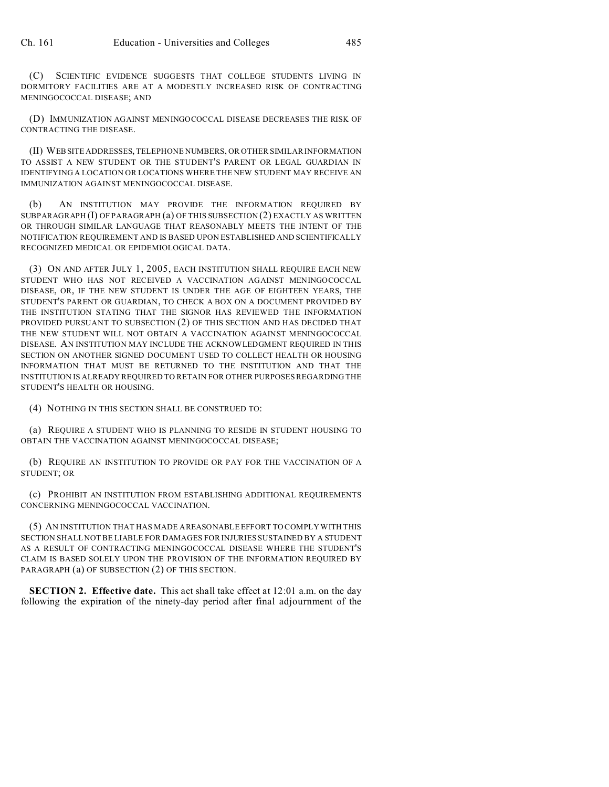(C) SCIENTIFIC EVIDENCE SUGGESTS THAT COLLEGE STUDENTS LIVING IN DORMITORY FACILITIES ARE AT A MODESTLY INCREASED RISK OF CONTRACTING MENINGOCOCCAL DISEASE; AND

(D) IMMUNIZATION AGAINST MENINGOCOCCAL DISEASE DECREASES THE RISK OF CONTRACTING THE DISEASE.

(II) WEBSITE ADDRESSES, TELEPHONE NUMBERS, OR OTHER SIMILAR INFORMATION TO ASSIST A NEW STUDENT OR THE STUDENT'S PARENT OR LEGAL GUARDIAN IN IDENTIFYING A LOCATION OR LOCATIONS WHERE THE NEW STUDENT MAY RECEIVE AN IMMUNIZATION AGAINST MENINGOCOCCAL DISEASE.

(b) AN INSTITUTION MAY PROVIDE THE INFORMATION REQUIRED BY SUBPARAGRAPH (I) OF PARAGRAPH (a) OF THIS SUBSECTION (2) EXACTLY AS WRITTEN OR THROUGH SIMILAR LANGUAGE THAT REASONABLY MEETS THE INTENT OF THE NOTIFICATION REQUIREMENT AND IS BASED UPON ESTABLISHED AND SCIENTIFICALLY RECOGNIZED MEDICAL OR EPIDEMIOLOGICAL DATA.

(3) ON AND AFTER JULY 1, 2005, EACH INSTITUTION SHALL REQUIRE EACH NEW STUDENT WHO HAS NOT RECEIVED A VACCINATION AGAINST MENINGOCOCCAL DISEASE, OR, IF THE NEW STUDENT IS UNDER THE AGE OF EIGHTEEN YEARS, THE STUDENT'S PARENT OR GUARDIAN, TO CHECK A BOX ON A DOCUMENT PROVIDED BY THE INSTITUTION STATING THAT THE SIGNOR HAS REVIEWED THE INFORMATION PROVIDED PURSUANT TO SUBSECTION (2) OF THIS SECTION AND HAS DECIDED THAT THE NEW STUDENT WILL NOT OBTAIN A VACCINATION AGAINST MENINGOCOCCAL DISEASE. AN INSTITUTION MAY INCLUDE THE ACKNOWLEDGMENT REQUIRED IN THIS SECTION ON ANOTHER SIGNED DOCUMENT USED TO COLLECT HEALTH OR HOUSING INFORMATION THAT MUST BE RETURNED TO THE INSTITUTION AND THAT THE INSTITUTION IS ALREADY REQUIRED TO RETAIN FOR OTHER PURPOSES REGARDING THE STUDENT'S HEALTH OR HOUSING.

(4) NOTHING IN THIS SECTION SHALL BE CONSTRUED TO:

(a) REQUIRE A STUDENT WHO IS PLANNING TO RESIDE IN STUDENT HOUSING TO OBTAIN THE VACCINATION AGAINST MENINGOCOCCAL DISEASE;

(b) REQUIRE AN INSTITUTION TO PROVIDE OR PAY FOR THE VACCINATION OF A STUDENT; OR

(c) PROHIBIT AN INSTITUTION FROM ESTABLISHING ADDITIONAL REQUIREMENTS CONCERNING MENINGOCOCCAL VACCINATION.

(5) AN INSTITUTION THAT HAS MADE A REASONABLE EFFORT TO COMPLY WITH THIS SECTION SHALL NOT BE LIABLE FOR DAMAGES FOR INJURIES SUSTAINED BY A STUDENT AS A RESULT OF CONTRACTING MENINGOCOCCAL DISEASE WHERE THE STUDENT'S CLAIM IS BASED SOLELY UPON THE PROVISION OF THE INFORMATION REQUIRED BY PARAGRAPH (a) OF SUBSECTION (2) OF THIS SECTION.

**SECTION 2. Effective date.** This act shall take effect at 12:01 a.m. on the day following the expiration of the ninety-day period after final adjournment of the